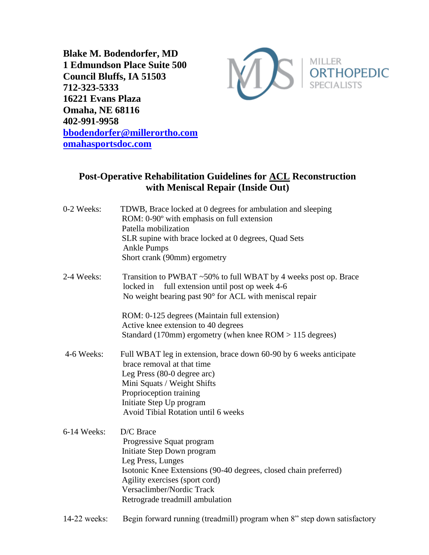**Blake M. Bodendorfer, MD 1 Edmundson Place Suite 500 Council Bluffs, IA 51503 712-323-5333 16221 Evans Plaza Omaha, NE 68116 402-991-9958 [bbodendorfer@millerortho.com](mailto:bbodendorfer@millerortho.com) [omahasportsdoc.com](http://www.omahasportsdoc.com/)**



## **Post-Operative Rehabilitation Guidelines for ACL Reconstruction with Meniscal Repair (Inside Out)**

| 0-2 Weeks:  | TDWB, Brace locked at 0 degrees for ambulation and sleeping<br>ROM: 0-90° with emphasis on full extension<br>Patella mobilization<br>SLR supine with brace locked at 0 degrees, Quad Sets<br><b>Ankle Pumps</b><br>Short crank (90mm) ergometry                 |
|-------------|-----------------------------------------------------------------------------------------------------------------------------------------------------------------------------------------------------------------------------------------------------------------|
| 2-4 Weeks:  | Transition to PWBAT ~50% to full WBAT by 4 weeks post op. Brace<br>full extension until post op week 4-6<br>locked in<br>No weight bearing past 90° for ACL with meniscal repair                                                                                |
|             | ROM: 0-125 degrees (Maintain full extension)                                                                                                                                                                                                                    |
|             | Active knee extension to 40 degrees                                                                                                                                                                                                                             |
|             | Standard (170mm) ergometry (when knee $ROM > 115$ degrees)                                                                                                                                                                                                      |
| 4-6 Weeks:  | Full WBAT leg in extension, brace down 60-90 by 6 weeks anticipate<br>brace removal at that time<br>Leg Press (80-0 degree arc)<br>Mini Squats / Weight Shifts<br>Proprioception training<br>Initiate Step Up program                                           |
|             | Avoid Tibial Rotation until 6 weeks                                                                                                                                                                                                                             |
| 6-14 Weeks: | D/C Brace<br>Progressive Squat program<br>Initiate Step Down program<br>Leg Press, Lunges<br>Isotonic Knee Extensions (90-40 degrees, closed chain preferred)<br>Agility exercises (sport cord)<br>Versaclimber/Nordic Track<br>Retrograde treadmill ambulation |
|             |                                                                                                                                                                                                                                                                 |

14-22 weeks: Begin forward running (treadmill) program when 8" step down satisfactory